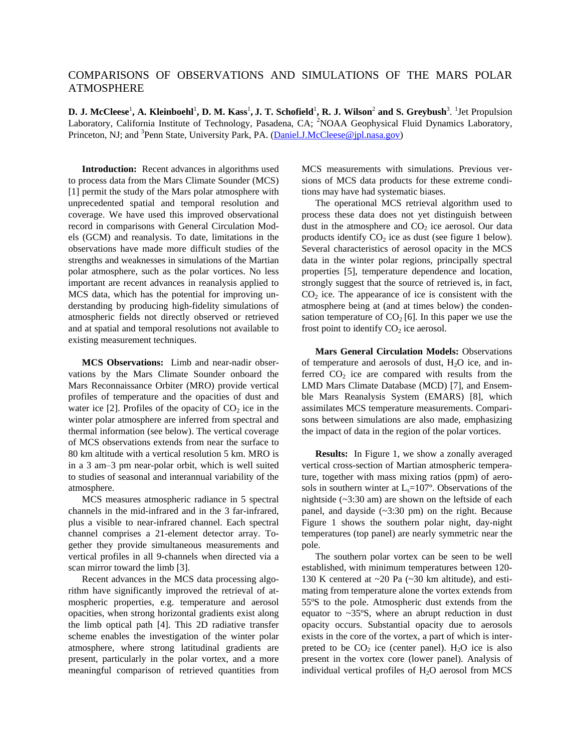## COMPARISONS OF OBSERVATIONS AND SIMULATIONS OF THE MARS POLAR ATMOSPHERE

**D. J. McCleese<sup>1</sup>, A. Kleinboehl<sup>1</sup>, D. M. Kass<sup>1</sup>, J. T. Schofield<sup>1</sup>, R. J. Wilson<sup>2</sup> and S. Greybush<sup>3</sup>. <sup>1</sup>Jet Propulsion** Laboratory, California Institute of Technology, Pasadena, CA; <sup>2</sup>NOAA Geophysical Fluid Dynamics Laboratory, Princeton, NJ; and <sup>3</sup>Penn State, University Park, PA. [\(Daniel.J.McCleese@jpl.nasa.gov\)](mailto:Daniel.J.McCleese@jpl.nasa.gov)

**Introduction:** Recent advances in algorithms used to process data from the Mars Climate Sounder (MCS) [1] permit the study of the Mars polar atmosphere with unprecedented spatial and temporal resolution and coverage. We have used this improved observational record in comparisons with General Circulation Models (GCM) and reanalysis. To date, limitations in the observations have made more difficult studies of the strengths and weaknesses in simulations of the Martian polar atmosphere, such as the polar vortices. No less important are recent advances in reanalysis applied to MCS data, which has the potential for improving understanding by producing high-fidelity simulations of atmospheric fields not directly observed or retrieved and at spatial and temporal resolutions not available to existing measurement techniques.

**MCS Observations:** Limb and near-nadir observations by the Mars Climate Sounder onboard the Mars Reconnaissance Orbiter (MRO) provide vertical profiles of temperature and the opacities of dust and water ice  $[2]$ . Profiles of the opacity of  $CO<sub>2</sub>$  ice in the winter polar atmosphere are inferred from spectral and thermal information (see below). The vertical coverage of MCS observations extends from near the surface to 80 km altitude with a vertical resolution 5 km. MRO is in a 3 am–3 pm near-polar orbit, which is well suited to studies of seasonal and interannual variability of the atmosphere.

MCS measures atmospheric radiance in 5 spectral channels in the mid-infrared and in the 3 far-infrared, plus a visible to near-infrared channel. Each spectral channel comprises a 21-element detector array. Together they provide simultaneous measurements and vertical profiles in all 9-channels when directed via a scan mirror toward the limb [3].

Recent advances in the MCS data processing algorithm have significantly improved the retrieval of atmospheric properties, e.g. temperature and aerosol opacities, when strong horizontal gradients exist along the limb optical path [4]. This 2D radiative transfer scheme enables the investigation of the winter polar atmosphere, where strong latitudinal gradients are present, particularly in the polar vortex, and a more meaningful comparison of retrieved quantities from

MCS measurements with simulations. Previous versions of MCS data products for these extreme conditions may have had systematic biases.

The operational MCS retrieval algorithm used to process these data does not yet distinguish between dust in the atmosphere and  $CO<sub>2</sub>$  ice aerosol. Our data products identify  $CO<sub>2</sub>$  ice as dust (see figure 1 below). Several characteristics of aerosol opacity in the MCS data in the winter polar regions, principally spectral properties [5], temperature dependence and location, strongly suggest that the source of retrieved is, in fact,  $CO<sub>2</sub>$  ice. The appearance of ice is consistent with the atmosphere being at (and at times below) the condensation temperature of  $CO<sub>2</sub>$  [6]. In this paper we use the frost point to identify  $CO<sub>2</sub>$  ice aerosol.

**Mars General Circulation Models:** Observations of temperature and aerosols of dust,  $H_2O$  ice, and inferred  $CO<sub>2</sub>$  ice are compared with results from the LMD Mars Climate Database (MCD) [7], and Ensemble Mars Reanalysis System (EMARS) [8], which assimilates MCS temperature measurements. Comparisons between simulations are also made, emphasizing the impact of data in the region of the polar vortices.

**Results:** In Figure 1, we show a zonally averaged vertical cross-section of Martian atmospheric temperature, together with mass mixing ratios (ppm) of aerosols in southern winter at  $L_s=107^\circ$ . Observations of the nightside (~3:30 am) are shown on the leftside of each panel, and dayside  $(\sim 3:30 \text{ pm})$  on the right. Because Figure 1 shows the southern polar night, day-night temperatures (top panel) are nearly symmetric near the pole.

The southern polar vortex can be seen to be well established, with minimum temperatures between 120- 130 K centered at ~20 Pa (~30 km altitude), and estimating from temperature alone the vortex extends from 55ºS to the pole. Atmospheric dust extends from the equator to  $\sim$ 35°S, where an abrupt reduction in dust opacity occurs. Substantial opacity due to aerosols exists in the core of the vortex, a part of which is interpreted to be  $CO<sub>2</sub>$  ice (center panel). H<sub>2</sub>O ice is also present in the vortex core (lower panel). Analysis of individual vertical profiles of  $H_2O$  aerosol from MCS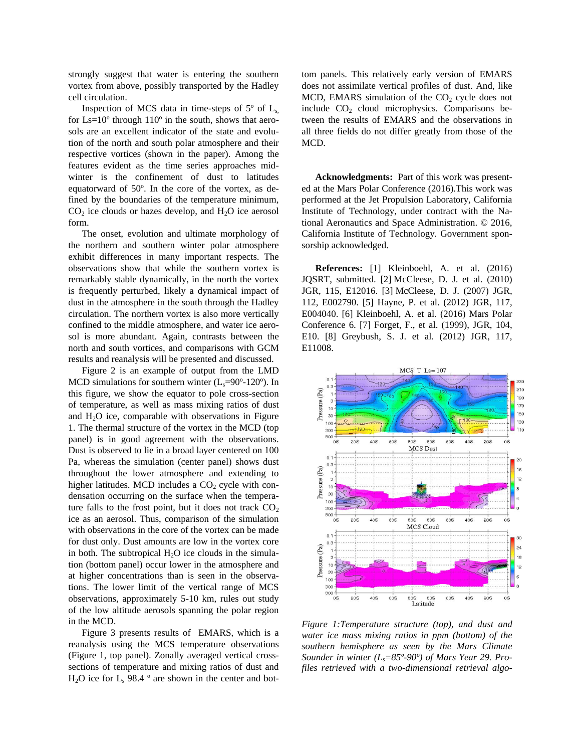strongly suggest that water is entering the southern vortex from above, possibly transported by the Hadley cell circulation.

Inspection of MCS data in time-steps of  $5^\circ$  of  $L_s$ , for  $Ls=10^{\circ}$  through  $110^{\circ}$  in the south, shows that aerosols are an excellent indicator of the state and evolution of the north and south polar atmosphere and their respective vortices (shown in the paper). Among the features evident as the time series approaches midwinter is the confinement of dust to latitudes equatorward of 50º. In the core of the vortex, as defined by the boundaries of the temperature minimum,  $CO<sub>2</sub>$  ice clouds or hazes develop, and  $H<sub>2</sub>O$  ice aerosol form.

The onset, evolution and ultimate morphology of the northern and southern winter polar atmosphere exhibit differences in many important respects. The observations show that while the southern vortex is remarkably stable dynamically, in the north the vortex is frequently perturbed, likely a dynamical impact of dust in the atmosphere in the south through the Hadley circulation. The northern vortex is also more vertically confined to the middle atmosphere, and water ice aerosol is more abundant. Again, contrasts between the north and south vortices, and comparisons with GCM results and reanalysis will be presented and discussed.

Figure 2 is an example of output from the LMD MCD simulations for southern winter  $(L_s=90^\circ-120^\circ)$ . In this figure, we show the equator to pole cross-section of temperature, as well as mass mixing ratios of dust and  $H<sub>2</sub>O$  ice, comparable with observations in Figure 1. The thermal structure of the vortex in the MCD (top panel) is in good agreement with the observations. Dust is observed to lie in a broad layer centered on 100 Pa, whereas the simulation (center panel) shows dust throughout the lower atmosphere and extending to higher latitudes. MCD includes a  $CO<sub>2</sub>$  cycle with condensation occurring on the surface when the temperature falls to the frost point, but it does not track  $CO<sub>2</sub>$ ice as an aerosol. Thus, comparison of the simulation with observations in the core of the vortex can be made for dust only. Dust amounts are low in the vortex core in both. The subtropical  $H_2O$  ice clouds in the simulation (bottom panel) occur lower in the atmosphere and at higher concentrations than is seen in the observations. The lower limit of the vertical range of MCS observations, approximately 5-10 km, rules out study of the low altitude aerosols spanning the polar region in the MCD.

Figure 3 presents results of EMARS, which is a reanalysis using the MCS temperature observations (Figure 1, top panel). Zonally averaged vertical crosssections of temperature and mixing ratios of dust and  $H<sub>2</sub>O$  ice for  $L<sub>s</sub>$  98.4 ° are shown in the center and bottom panels. This relatively early version of EMARS does not assimilate vertical profiles of dust. And, like MCD, EMARS simulation of the  $CO<sub>2</sub>$  cycle does not include  $CO<sub>2</sub>$  cloud microphysics. Comparisons between the results of EMARS and the observations in all three fields do not differ greatly from those of the MCD.

**Acknowledgments:** Part of this work was presented at the Mars Polar Conference (2016).This work was performed at the Jet Propulsion Laboratory, California Institute of Technology, under contract with the National Aeronautics and Space Administration. © 2016, California Institute of Technology. Government sponsorship acknowledged.

**References:** [1] Kleinboehl, A. et al. (2016) JQSRT, submitted. [2] McCleese, D. J. et al. (2010) JGR, 115, E12016. [3] McCleese, D. J. (2007) JGR, 112, E002790. [5] Hayne, P. et al. (2012) JGR, 117, E004040. [6] Kleinboehl, A. et al. (2016) Mars Polar Conference 6. [7] Forget, F., et al. (1999), JGR, 104, E10. [8] Greybush, S. J. et al. (2012) JGR, 117, E11008.



*Figure 1:Temperature structure (top), and dust and water ice mass mixing ratios in ppm (bottom) of the southern hemisphere as seen by the Mars Climate Sounder in winter (Ls=85º-90º) of Mars Year 29. Profiles retrieved with a two-dimensional retrieval algo-*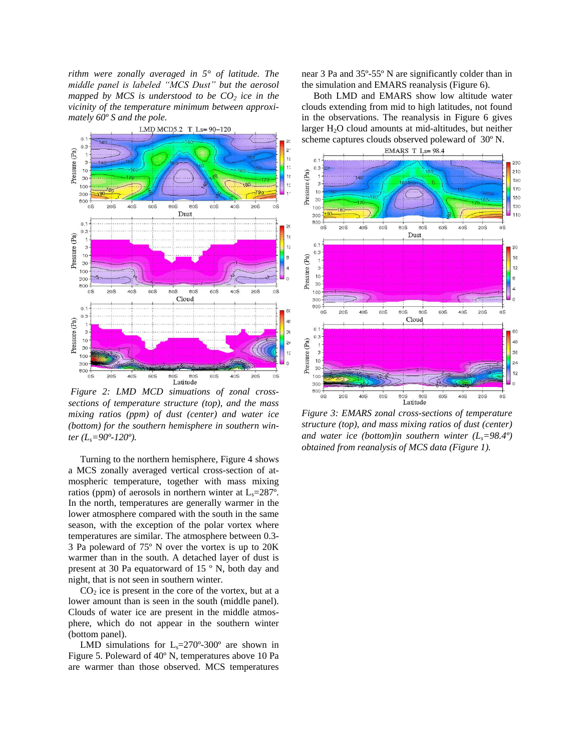*rithm were zonally averaged in 5° of latitude. The middle panel is labeled "MCS Dust" but the aerosol mapped by MCS is understood to be CO<sup>2</sup> ice in the vicinity of the temperature minimum between approximately 60º S and the pole.*



*Figure 2: LMD MCD simuations of zonal crosssections of temperature structure (top), and the mass mixing ratios (ppm) of dust (center) and water ice (bottom) for the southern hemisphere in southern winter (Ls=90º-120º).*

 Turning to the northern hemisphere, Figure 4 shows a MCS zonally averaged vertical cross-section of atmospheric temperature, together with mass mixing ratios (ppm) of aerosols in northern winter at  $L_s=287^\circ$ . In the north, temperatures are generally warmer in the lower atmosphere compared with the south in the same season, with the exception of the polar vortex where temperatures are similar. The atmosphere between 0.3- 3 Pa poleward of 75º N over the vortex is up to 20K warmer than in the south. A detached layer of dust is present at 30 Pa equatorward of 15 º N, both day and night, that is not seen in southern winter.

 $CO<sub>2</sub>$  ice is present in the core of the vortex, but at a lower amount than is seen in the south (middle panel). Clouds of water ice are present in the middle atmosphere, which do not appear in the southern winter (bottom panel).

LMD simulations for  $L_s = 270^\circ - 300^\circ$  are shown in Figure 5. Poleward of 40º N, temperatures above 10 Pa are warmer than those observed. MCS temperatures near 3 Pa and 35º-55º N are significantly colder than in the simulation and EMARS reanalysis (Figure 6).

 Both LMD and EMARS show low altitude water clouds extending from mid to high latitudes, not found in the observations. The reanalysis in Figure 6 gives larger  $H<sub>2</sub>O$  cloud amounts at mid-altitudes, but neither scheme captures clouds observed poleward of 30º N.



*Figure 3: EMARS zonal cross-sections of temperature structure (top), and mass mixing ratios of dust (center) and water ice (bottom)in southern winter (Ls=98.4º) obtained from reanalysis of MCS data (Figure 1).*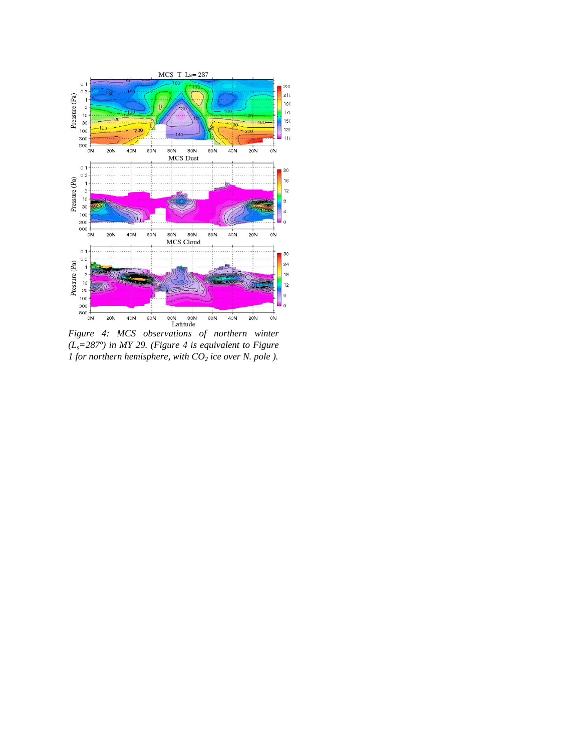

*(Ls=287º) in MY 29. (Figure 4 is equivalent to Figure 1 for northern hemisphere, with CO<sup>2</sup> ice over N. pole ).*